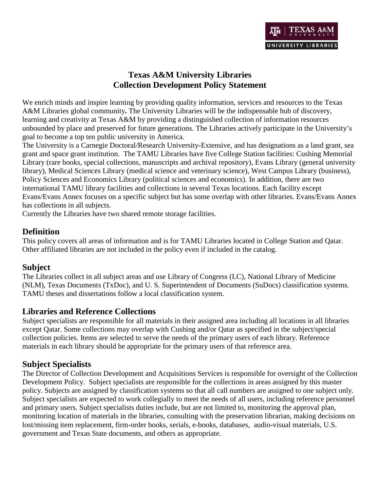

# **Texas A&M University Libraries Collection Development Policy Statement**

We enrich minds and inspire learning by providing quality information, services and resources to the Texas A&M Libraries global community**.** The University Libraries will be the indispensable hub of discovery, learning and creativity at Texas A&M by providing a distinguished collection of information resources unbounded by place and preserved for future generations. The Libraries actively participate in the University's goal to become a top ten public university in America.

The University is a Carnegie Doctoral/Research University-Extensive, and has designations as a land grant, sea grant and space grant institution. The TAMU Libraries have five College Station facilities: Cushing Memorial Library (rare books, special collections, manuscripts and archival repository), Evans Library (general university library), Medical Sciences Library (medical science and veterinary science), West Campus Library (business), Policy Sciences and Economics Library (political sciences and economics). In addition, there are two international TAMU library facilities and collections in several Texas locations. Each facility except Evans/Evans Annex focuses on a specific subject but has some overlap with other libraries. Evans/Evans Annex has collections in all subjects.

Currently the Libraries have two shared remote storage facilities.

# **Definition**

This policy covers all areas of information and is for TAMU Libraries located in College Station and Qatar. Other affiliated libraries are not included in the policy even if included in the catalog.

# **Subject**

The Libraries collect in all subject areas and use Library of Congress (LC), National Library of Medicine (NLM), Texas Documents (TxDoc), and U. S. Superintendent of Documents (SuDocs) classification systems. TAMU theses and dissertations follow a local classification system.

# **Libraries and Reference Collections**

Subject specialists are responsible for all materials in their assigned area including all locations in all libraries except Qatar. Some collections may overlap with Cushing and/or Qatar as specified in the subject/special collection policies. Items are selected to serve the needs of the primary users of each library. Reference materials in each library should be appropriate for the primary users of that reference area.

# **Subject Specialists**

The Director of Collection Development and Acquisitions Services is responsible for oversight of the Collection Development Policy. Subject specialists are responsible for the collections in areas assigned by this master policy. Subjects are assigned by classification systems so that all call numbers are assigned to one subject only. Subject specialists are expected to work collegially to meet the needs of all users, including reference personnel and primary users. Subject specialists duties include, but are not limited to, monitoring the approval plan, monitoring location of materials in the libraries, consulting with the preservation librarian, making decisions on lost/missing item replacement, firm-order books, serials, e-books, databases, audio-visual materials, U.S. government and Texas State documents, and others as appropriate.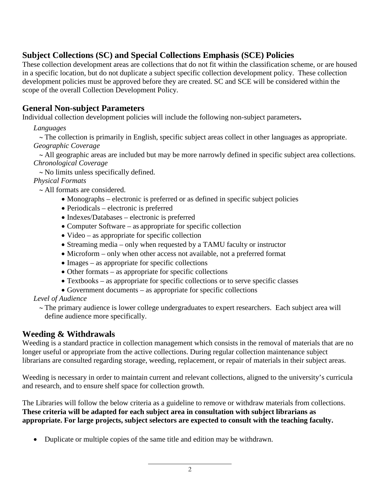# **Subject Collections (SC) and Special Collections Emphasis (SCE) Policies**

These collection development areas are collections that do not fit within the classification scheme, or are housed in a specific location, but do not duplicate a subject specific collection development policy. These collection development policies must be approved before they are created. SC and SCE will be considered within the scope of the overall Collection Development Policy.

# **General Non-subject Parameters**

Individual collection development policies will include the following non-subject parameters**.**

*Languages*

∼ The collection is primarily in English, specific subject areas collect in other languages as appropriate. *Geographic Coverage*

∼ All geographic areas are included but may be more narrowly defined in specific subject area collections. *Chronological Coverage*

∼ No limits unless specifically defined.

*Physical Formats*

∼ All formats are considered.

- Monographs electronic is preferred or as defined in specific subject policies
- Periodicals electronic is preferred
- Indexes/Databases electronic is preferred
- Computer Software as appropriate for specific collection
- Video as appropriate for specific collection
- Streaming media only when requested by a TAMU faculty or instructor
- Microform only when other access not available, not a preferred format
- Images as appropriate for specific collections
- Other formats as appropriate for specific collections
- Textbooks as appropriate for specific collections or to serve specific classes
- Government documents as appropriate for specific collections

*Level of Audience*

∼ The primary audience is lower college undergraduates to expert researchers. Each subject area will define audience more specifically.

# **Weeding & Withdrawals**

Weeding is a standard practice in collection management which consists in the removal of materials that are no longer useful or appropriate from the active collections. During regular collection maintenance subject librarians are consulted regarding storage, weeding, replacement, or repair of materials in their subject areas.

Weeding is necessary in order to maintain current and relevant collections, aligned to the university's curricula and research, and to ensure shelf space for collection growth.

The Libraries will follow the below criteria as a guideline to remove or withdraw materials from collections. **These criteria will be adapted for each subject area in consultation with subject librarians as appropriate. For large projects, subject selectors are expected to consult with the teaching faculty.**

• Duplicate or multiple copies of the same title and edition may be withdrawn.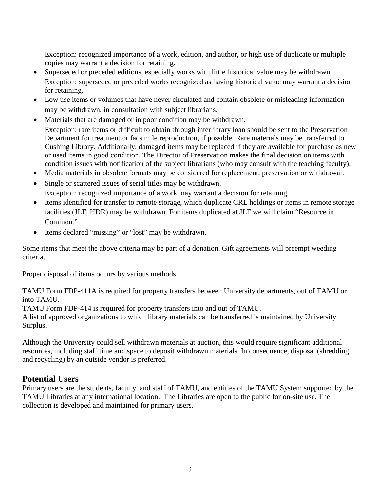Exception: recognized importance of a work, edition, and author, or high use of duplicate or multiple copies may warrant a decision for retaining.

- Superseded or preceded editions, especially works with little historical value may be withdrawn. Exception: superseded or preceded works recognized as having historical value may warrant a decision for retaining.
- Low use items or volumes that have never circulated and contain obsolete or misleading information may be withdrawn, in consultation with subject librarians.
- Materials that are damaged or in poor condition may be withdrawn. Exception: rare items or difficult to obtain through interlibrary loan should be sent to the Preservation Department for treatment or facsimile reproduction, if possible. Rare materials may be transferred to Cushing Library. Additionally, damaged items may be replaced if they are available for purchase as new or used items in good condition. The Director of Preservation makes the final decision on items with condition issues with notification of the subject librarians (who may consult with the teaching faculty).
- Media materials in obsolete formats may be considered for replacement, preservation or withdrawal.
- Single or scattered issues of serial titles may be withdrawn. Exception: recognized importance of a work may warrant a decision for retaining.
- Items identified for transfer to remote storage, which duplicate CRL holdings or items in remote storage facilities (JLF, HDR) may be withdrawn. For items duplicated at JLF we will claim "Resource in Common."
- Items declared "missing" or "lost" may be withdrawn.

Some items that meet the above criteria may be part of a donation. Gift agreements will preempt weeding criteria.

Proper disposal of items occurs by various methods.

TAMU Form FDP-411A is required for property transfers between University departments, out of TAMU or into TAMU.

TAMU Form FDP-414 is required for property transfers into and out of TAMU.

A list of approved organizations to which library materials can be transferred is maintained by University Surplus.

Although the University could sell withdrawn materials at auction, this would require significant additional resources, including staff time and space to deposit withdrawn materials. In consequence, disposal (shredding and recycling) by an outside vendor is preferred.

# **Potential Users**

Primary users are the students, faculty, and staff of TAMU, and entities of the TAMU System supported by the TAMU Libraries at any international location. The Libraries are open to the public for on-site use. The collection is developed and maintained for primary users.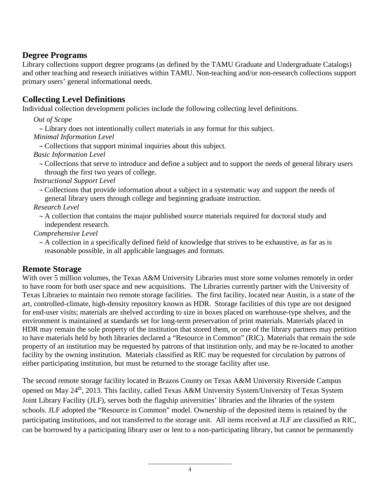# **Degree Programs**

Library collections support degree programs (as defined by the TAMU Graduate and Undergraduate Catalogs) and other teaching and research initiatives within TAMU. Non-teaching and/or non-research collections support primary users' general informational needs.

# **Collecting Level Definitions**

Individual collection development policies include the following collecting level definitions.

*Out of Scope*

∼ Library does not intentionally collect materials in any format for this subject.

*Minimal Information Level*

∼ Collections that support minimal inquiries about this subject.

*Basic Information Level*

∼ Collections that serve to introduce and define a subject and to support the needs of general library users through the first two years of college.

*Instructional Support Level*

∼ Collections that provide information about a subject in a systematic way and support the needs of general library users through college and beginning graduate instruction.

*Research Level*

∼ A collection that contains the major published source materials required for doctoral study and independent research.

*Comprehensive Level*

∼ A collection in a specifically defined field of knowledge that strives to be exhaustive, as far as is reasonable possible, in all applicable languages and formats.

# **Remote Storage**

With over 5 million volumes, the Texas A&M University Libraries must store some volumes remotely in order to have room for both user space and new acquisitions. The Libraries currently partner with the University of Texas Libraries to maintain two remote storage facilities. The first facility, located near Austin, is a state of the art, controlled-climate, high-density repository known as HDR. Storage facilities of this type are not designed for end-user visits; materials are shelved according to size in boxes placed on warehouse-type shelves, and the environment is maintained at standards set for long-term preservation of print materials. Materials placed in HDR may remain the sole property of the institution that stored them, or one of the library partners may petition to have materials held by both libraries declared a "Resource in Common" (RIC). Materials that remain the sole property of an institution may be requested by patrons of that institution only, and may be re-located to another facility by the owning institution. Materials classified as RIC may be requested for circulation by patrons of either participating institution, but must be returned to the storage facility after use.

The second remote storage facility located in Brazos County on Texas A&M University Riverside Campus opened on May 24<sup>th</sup>, 2013. This facility, called Texas A&M University System/University of Texas System Joint Library Facility (JLF), serves both the flagship universities' libraries and the libraries of the system schools. JLF adopted the "Resource in Common" model. Ownership of the deposited items is retained by the participating institutions, and not transferred to the storage unit. All items received at JLF are classified as RIC, can be borrowed by a participating library user or lent to a non-participating library, but cannot be permanently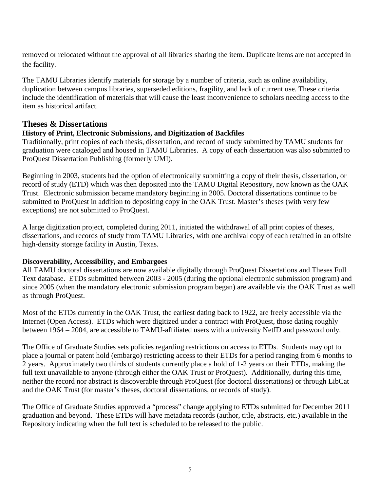removed or relocated without the approval of all libraries sharing the item. Duplicate items are not accepted in the facility.

The TAMU Libraries identify materials for storage by a number of criteria, such as online availability, duplication between campus libraries, superseded editions, fragility, and lack of current use. These criteria include the identification of materials that will cause the least inconvenience to scholars needing access to the item as historical artifact.

# **Theses & Dissertations**

# **History of Print, Electronic Submissions, and Digitization of Backfiles**

Traditionally, print copies of each thesis, dissertation, and record of study submitted by TAMU students for graduation were cataloged and housed in TAMU Libraries. A copy of each dissertation was also submitted to ProQuest Dissertation Publishing (formerly UMI).

Beginning in 2003, students had the option of electronically submitting a copy of their thesis, dissertation, or record of study (ETD) which was then deposited into the TAMU Digital Repository, now known as the OAK Trust. Electronic submission became mandatory beginning in 2005. Doctoral dissertations continue to be submitted to ProQuest in addition to depositing copy in the OAK Trust. Master's theses (with very few exceptions) are not submitted to ProQuest.

A large digitization project, completed during 2011, initiated the withdrawal of all print copies of theses, dissertations, and records of study from TAMU Libraries, with one archival copy of each retained in an offsite high-density storage facility in Austin, Texas.

# **Discoverability, Accessibility, and Embargoes**

All TAMU doctoral dissertations are now available digitally through ProQuest Dissertations and Theses Full Text database. ETDs submitted between 2003 - 2005 (during the optional electronic submission program) and since 2005 (when the mandatory electronic submission program began) are available via the OAK Trust as well as through ProQuest.

Most of the ETDs currently in the OAK Trust, the earliest dating back to 1922, are freely accessible via the Internet (Open Access). ETDs which were digitized under a contract with ProQuest, those dating roughly between 1964 – 2004, are accessible to TAMU-affiliated users with a university NetID and password only.

The Office of Graduate Studies sets policies regarding restrictions on access to ETDs. Students may opt to place a journal or patent hold (embargo) restricting access to their ETDs for a period ranging from 6 months to 2 years. Approximately two thirds of students currently place a hold of 1-2 years on their ETDs, making the full text unavailable to anyone (through either the OAK Trust or ProQuest). Additionally, during this time, neither the record nor abstract is discoverable through ProQuest (for doctoral dissertations) or through LibCat and the OAK Trust (for master's theses, doctoral dissertations, or records of study).

The Office of Graduate Studies approved a "process" change applying to ETDs submitted for December 2011 graduation and beyond. These ETDs will have metadata records (author, title, abstracts, etc.) available in the Repository indicating when the full text is scheduled to be released to the public.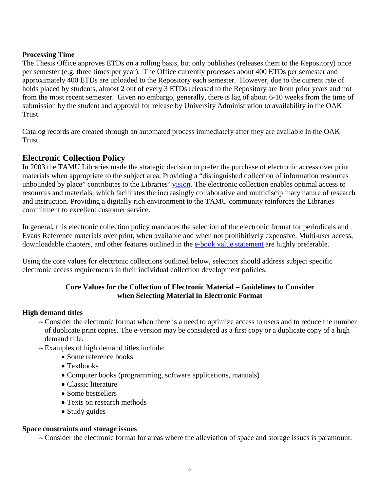## **Processing Time**

The Thesis Office approves ETDs on a rolling basis, but only publishes (releases them to the Repository) once per semester (e.g. three times per year). The Office currently processes about 400 ETDs per semester and approximately 400 ETDs are uploaded to the Repository each semester. However, due to the current rate of holds placed by students, almost 2 out of every 3 ETDs released to the Repository are from prior years and not from the most recent semester. Given no embargo, generally, there is lag of about 6-10 weeks from the time of submission by the student and approval for release by University Administration to availability in the OAK Trust.

Catalog records are created through an automated process immediately after they are available in the OAK Trust.

# **Electronic Collection Policy**

In 2003 the TAMU Libraries made the strategic decision to prefer the purchase of electronic access over print materials when appropriate to the subject area. Providing a "distinguished collection of information resources unbounded by place" contributes to the Libraries' [vision.](http://library.tamu.edu/about/general-information/mission-vision-and-values.html) The electronic collection enables optimal access to resources and materials, which facilitates the increasingly collaborative and multidisciplinary nature of research and instruction. Providing a digitally rich environment to the TAMU community reinforces the Libraries commitment to excellent customer service.

In general*,* this electronic collection policy mandates the selection of the electronic format for periodicals and Evans Reference materials over print, when available and when not prohibitively expensive. Multi-user access, downloadable chapters, and other features outlined in the [e-book value statement](http://library.tamu.edu/about/collections/collection-development/E-book%20Value%20Statement.html) are highly preferable.

Using the core values for electronic collections outlined below, selectors should address subject specific electronic access requirements in their individual collection development policies.

## **Core Values for the Collection of Electronic Material – Guidelines to Consider when Selecting Material in Electronic Format**

## **High demand titles**

- ∼ Consider the electronic format when there is a need to optimize access to users and to reduce the number of duplicate print copies. The e-version may be considered as a first copy or a duplicate copy of a high demand title.
- ∼ Examples of high demand titles include:
	- Some reference books
	- Textbooks
	- Computer books (programming, software applications, manuals)
	- Classic literature
	- Some bestsellers
	- Texts on research methods
	- Study guides

## **Space constraints and storage issues**

∼ Consider the electronic format for areas where the alleviation of space and storage issues is paramount.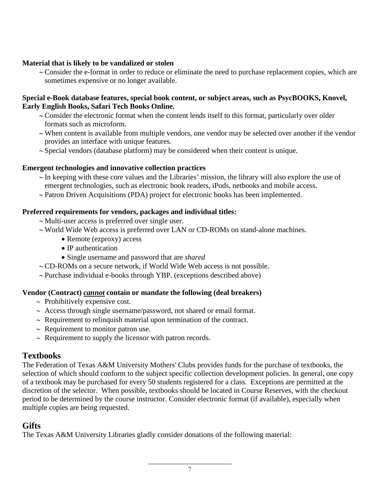## **Material that is likely to be vandalized or stolen**

∼ Consider the e-format in order to reduce or eliminate the need to purchase replacement copies, which are sometimes expensive or no longer available.

#### **Special e-Book database features, special book content, or subject areas, such as PsycBOOKS, Knovel, Early English Books, Safari Tech Books Online.**

- ∼ Consider the electronic format when the content lends itself to this format, particularly over older formats such as microform.
- ∼ When content is available from multiple vendors, one vendor may be selected over another if the vendor provides an interface with unique features.
- ∼ Special vendors (database platform) may be considered when their content is unique.

## **Emergent technologies and innovative collection practices**

- ∼ In keeping with these core values and the Libraries' mission, the library will also explore the use of emergent technologies, such as electronic book readers, iPods, netbooks and mobile access.
- ∼ Patron Driven Acquisitions (PDA) project for electronic books has been implemented.

## **Preferred requirements for vendors, packages and individual titles:**

- ∼ Multi-user access is preferred over single user.
- ∼ World Wide Web access is preferred over LAN or CD-ROMs on stand-alone machines.
	- Remote (ezproxy) access
	- IP authentication
	- Single username and password that are *shared*
- ∼ CD-ROMs on a secure network, if World Wide Web access is not possible.
- ∼ Purchase individual e-books through YBP. (exceptions described above)

# **Vendor (Contract)** *cannot* **contain or mandate the following (deal breakers)**

- ∼ Prohibitively expensive cost.
- ∼ Access through single username/password, not shared or email format.
- ∼ Requirement to relinquish material upon termination of the contract.
- ∼ Requirement to monitor patron use.
- ∼ Requirement to supply the licensor with patron records.

# **Textbooks**

The Federation of Texas A&M University Mothers' Clubs provides funds for the purchase of textbooks, the selection of which should conform to the subject specific collection development policies. In general, one copy of a textbook may be purchased for every 50 students registered for a class. Exceptions are permitted at the discretion of the selector. When possible, textbooks should be located in Course Reserves, with the checkout period to be determined by the course instructor. Consider electronic format (if available), especially when multiple copies are being requested.

# **Gifts**

The Texas A&M University Libraries gladly consider donations of the following material: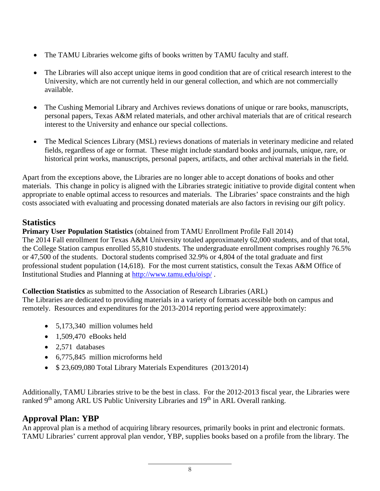- The TAMU Libraries welcome gifts of books written by TAMU faculty and staff.
- The Libraries will also accept unique items in good condition that are of critical research interest to the University, which are not currently held in our general collection, and which are not commercially available.
- The Cushing Memorial Library and Archives reviews donations of unique or rare books, manuscripts, personal papers, Texas A&M related materials, and other archival materials that are of critical research interest to the University and enhance our special collections.
- The Medical Sciences Library (MSL) reviews donations of materials in veterinary medicine and related fields, regardless of age or format. These might include standard books and journals, unique, rare, or historical print works, manuscripts, personal papers, artifacts, and other archival materials in the field.

Apart from the exceptions above, the Libraries are no longer able to accept donations of books and other materials. This change in policy is aligned with the Libraries strategic initiative to provide digital content when appropriate to enable optimal access to resources and materials. The Libraries' space constraints and the high costs associated with evaluating and processing donated materials are also factors in revising our gift policy.

# **Statistics**

**Primary User Population Statistics** (obtained from TAMU Enrollment Profile Fall 2014) The 2014 Fall enrollment for Texas A&M University totaled approximately 62,000 students, and of that total, the College Station campus enrolled 55,810 students. The undergraduate enrollment comprises roughly 76.5% or 47,500 of the students. Doctoral students comprised 32.9% or 4,804 of the total graduate and first professional student population (14,618). For the most current statistics, consult the Texas A&M Office of Institutional Studies and Planning at <http://www.tamu.edu/oisp/> .

**Collection Statistics** as submitted to the Association of Research Libraries (ARL)

The Libraries are dedicated to providing materials in a variety of formats accessible both on campus and remotely. Resources and expenditures for the 2013-2014 reporting period were approximately:

- 5,173,340 million volumes held
- $\bullet$  1,509,470 eBooks held
- 2,571 databases
- 6,775,845 million microforms held
- \$ 23,609,080 Total Library Materials Expenditures (2013/2014)

Additionally, TAMU Libraries strive to be the best in class. For the 2012-2013 fiscal year, the Libraries were ranked 9<sup>th</sup> among ARL US Public University Libraries and 19<sup>th</sup> in ARL Overall ranking.

# **Approval Plan: YBP**

An approval plan is a method of acquiring library resources, primarily books in print and electronic formats. TAMU Libraries' current approval plan vendor, YBP, supplies books based on a profile from the library. The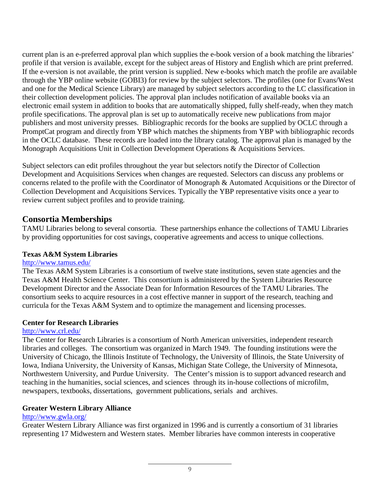current plan is an e-preferred approval plan which supplies the e-book version of a book matching the libraries' profile if that version is available, except for the subject areas of History and English which are print preferred. If the e-version is not available, the print version is supplied. New e-books which match the profile are available through the YBP online website (GOBI3) for review by the subject selectors. The profiles (one for Evans/West and one for the Medical Science Library) are managed by subject selectors according to the LC classification in their collection development policies. The approval plan includes notification of available books via an electronic email system in addition to books that are automatically shipped, fully shelf-ready, when they match profile specifications. The approval plan is set up to automatically receive new publications from major publishers and most university presses. Bibliographic records for the books are supplied by OCLC through a PromptCat program and directly from YBP which matches the shipments from YBP with bibliographic records in the OCLC database. These records are loaded into the library catalog. The approval plan is managed by the Monograph Acquisitions Unit in Collection Development Operations & Acquisitions Services.

Subject selectors can edit profiles throughout the year but selectors notify the Director of Collection Development and Acquisitions Services when changes are requested. Selectors can discuss any problems or concerns related to the profile with the Coordinator of Monograph & Automated Acquisitions or the Director of Collection Development and Acquisitions Services. Typically the YBP representative visits once a year to review current subject profiles and to provide training.

# **Consortia Memberships**

TAMU Libraries belong to several consortia. These partnerships enhance the collections of TAMU Libraries by providing opportunities for cost savings, cooperative agreements and access to unique collections.

# **Texas A&M System Libraries**

## <http://www.tamus.edu/>

The Texas A&M System Libraries is a consortium of twelve state institutions, seven state agencies and the Texas A&M Health Science Center. This consortium is administered by the System Libraries Resource Development Director and the Associate Dean for Information Resources of the TAMU Libraries. The consortium seeks to acquire resources in a cost effective manner in support of the research, teaching and curricula for the Texas A&M System and to optimize the management and licensing processes.

# **Center for Research Libraries**

# <http://www.crl.edu/>

The Center for Research Libraries is a consortium of North American universities, independent research libraries and colleges. The consortium was organized in March 1949. The founding institutions were the University of Chicago, the Illinois Institute of Technology, the University of Illinois, the State University of Iowa, Indiana University, the University of Kansas, Michigan State College, the University of Minnesota, Northwestern University, and Purdue University. The Center's mission is to support advanced research and teaching in the humanities, social sciences, and sciences through its in-house collections of microfilm, newspapers, textbooks, dissertations, government publications, serials and archives.

# **Greater Western Library Alliance**

## <http://www.gwla.org/>

Greater Western Library Alliance was first organized in 1996 and is currently a consortium of 31 libraries representing 17 Midwestern and Western states. Member libraries have common interests in cooperative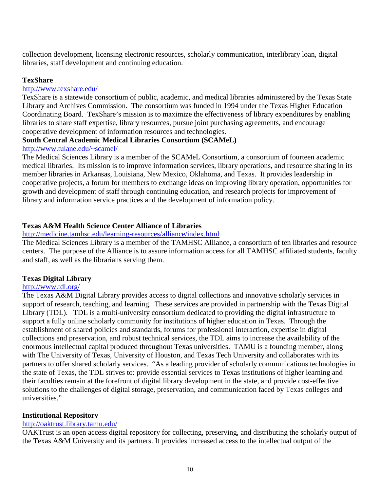collection development, licensing electronic resources, scholarly communication, interlibrary loan, digital libraries, staff development and continuing education.

## **TexShare**

## <http://www.texshare.edu/>

TexShare is a statewide consortium of public, academic, and medical libraries administered by the Texas State Library and Archives Commission. The consortium was funded in 1994 under the Texas Higher Education Coordinating Board. TexShare's mission is to maximize the effectiveness of library expenditures by enabling libraries to share staff expertise, library resources, pursue joint purchasing agreements, and encourage cooperative development of information resources and technologies.

## **South Central Academic Medical Libraries Consortium (SCAMeL)**

#### [http://www.tulane.edu/~scamel/](http://www.tulane.edu/%7Escamel/)

The Medical Sciences Library is a member of the SCAMeL Consortium, a consortium of fourteen academic medical libraries. Its mission is to improve information services, library operations, and resource sharing in its member libraries in Arkansas, Louisiana, New Mexico, Oklahoma, and Texas. It provides leadership in cooperative projects, a forum for members to exchange ideas on improving library operation, opportunities for growth and development of staff through continuing education, and research projects for improvement of library and information service practices and the development of information policy.

## **Texas A&M Health Science Center Alliance of Libraries**

## <http://medicine.tamhsc.edu/learning-resources/alliance/index.html>

The Medical Sciences Library is a member of the TAMHSC Alliance, a consortium of ten libraries and resource centers. The purpose of the Alliance is to assure information access for all TAMHSC affiliated students, faculty and staff, as well as the librarians serving them.

## **Texas Digital Library**

## <http://www.tdl.org/>

The Texas A&M Digital Library provides access to digital collections and innovative scholarly services in support of research, teaching, and learning. These services are provided in partnership with the Texas Digital Library (TDL). TDL is a multi-university consortium dedicated to providing the digital infrastructure to support a fully online scholarly community for institutions of higher education in Texas. Through the establishment of shared policies and standards, forums for professional interaction, expertise in digital collections and preservation, and robust technical services, the TDL aims to increase the availability of the enormous intellectual capital produced throughout Texas universities. TAMU is a founding member, along with The University of Texas, University of Houston, and Texas Tech University and collaborates with its partners to offer shared scholarly services. "As a leading provider of scholarly communications technologies in the state of Texas, the TDL strives to: provide essential services to Texas institutions of higher learning and their faculties remain at the forefront of digital library development in the state, and provide cost-effective solutions to the challenges of digital storage, preservation, and communication faced by Texas colleges and universities."

## **Institutional Repository**

## <http://oaktrust.library.tamu.edu/>

OAKTrust is an open access digital repository for collecting, preserving, and distributing the scholarly output of the Texas A&M University and its partners. It provides increased access to the intellectual output of the